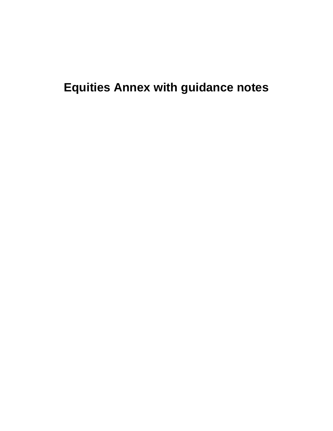**Equities Annex with guidance notes**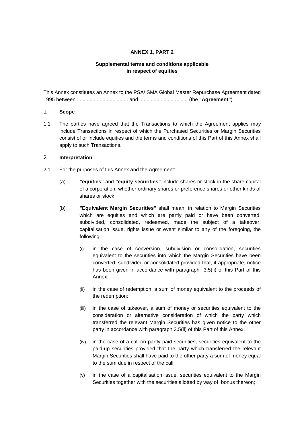# **ANNEX 1, PART 2**

# **Supplemental terms and conditions applicable in respect of equities**

This Annex constitutes an Annex to the PSA/ISMA Global Master Repurchase Agreement dated 1995 between .................................... and .................................. (the **"Agreement"**)

### 1. **Scope**

1.1 The parties have agreed that the Transactions to which the Agreement applies may include Transactions in respect of which the Purchased Securities or Margin Securities consist of or include equities and the terms and conditions of this Part of this Annex shall apply to such Transactions.

### 2. **Interpretation**

- 2.1 For the purposes of this Annex and the Agreement:
	- (a) **"equities"** and **"equity securities"** include shares or stock in the share capital of a corporation, whether ordinary shares or preference shares or other kinds of shares or stock;
	- (b) **"Equivalent Margin Securities"** shall mean, in relation to Margin Securities which are equities and which are partly paid or have been converted, subdivided, consolidated, redeemed, made the subject of a takeover, capitalisation issue, rights issue or event similar to any of the foregoing, the following:
		- (i) in the case of conversion, subdivision or consolidation, securities equivalent to the securities into which the Margin Securities have been converted, subdivided or consolidated provided that, if appropriate, notice has been given in accordance with paragraph 3.5(ii) of this Part of this Annex;
		- (ii) in the case of redemption, a sum of money equivalent to the proceeds of the redemption;
		- (iii) in the case of takeover, a sum of money or securities equivalent to the consideration or alternative consideration of which the party which transferred the relevant Margin Securities has given notice to the other party in accordance with paragraph 3.5(ii) of this Part of this Annex;
		- (iv) in the case of a call on partly paid securities, securities equivalent to the paid-up securities provided that the party which transferred the relevant Margin Securities shall have paid to the other party a sum of money equal to the sum due in respect of the call;
		- (v) in the case of a capitalisation issue, securities equivalent to the Margin Securities together with the securities allotted by way of bonus thereon;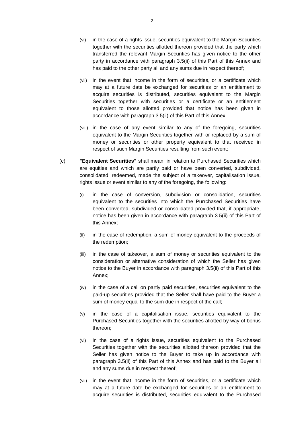- (vi) in the case of a rights issue, securities equivalent to the Margin Securities together with the securities allotted thereon provided that the party which transferred the relevant Margin Securities has given notice to the other party in accordance with paragraph 3.5(ii) of this Part of this Annex and has paid to the other party all and any sums due in respect thereof;
- (vii) in the event that income in the form of securities, or a certificate which may at a future date be exchanged for securities or an entitlement to acquire securities is distributed, securities equivalent to the Margin Securities together with securities or a certificate or an entitlement equivalent to those allotted provided that notice has been given in accordance with paragraph 3.5(ii) of this Part of this Annex;
- (viii) in the case of any event similar to any of the foregoing, securities equivalent to the Margin Securities together with or replaced by a sum of money or securities or other property equivalent to that received in respect of such Margin Securities resulting from such event;
- (c) **"Equivalent Securities"** shall mean, in relation to Purchased Securities which are equities and which are partly paid or have been converted, subdivided, consolidated, redeemed, made the subject of a takeover, capitalisation issue, rights issue or event similar to any of the foregoing, the following:
	- (i) in the case of conversion, subdivision or consolidation, securities equivalent to the securities into which the Purrchased Securities have been converted, subdivided or consolidated provided that, if appropriate, notice has been given in accordance with paragraph 3.5(ii) of this Part of this Annex;
	- (ii) in the case of redemption, a sum of money equivalent to the proceeds of the redemption;
	- (iii) in the case of takeover, a sum of money or securities equivalent to the consideration or alternative consideration of which the Seller has given notice to the Buyer in accordance with paragraph 3.5(ii) of this Part of this Annex;
	- (iv) in the case of a call on partly paid securities, securities equivalent to the paid-up securities provided that the Seller shall have paid to the Buyer a sum of money equal to the sum due in respect of the call;
	- (v) in the case of a capitalisation issue, securities equivalent to the Purchased Securities together with the securities allotted by way of bonus thereon;
	- (vi) in the case of a rights issue, securities equivalent to the Purchased Securities together with the securities allotted thereon provided that the Seller has given notice to the Buyer to take up in accordance with paragraph 3.5(ii) of this Part of this Annex and has paid to the Buyer all and any sums due in respect thereof;
	- (vii) in the event that income in the form of securities, or a certificate which may at a future date be exchanged for securities or an entitlement to acquire securities is distributed, securities equivalent to the Purchased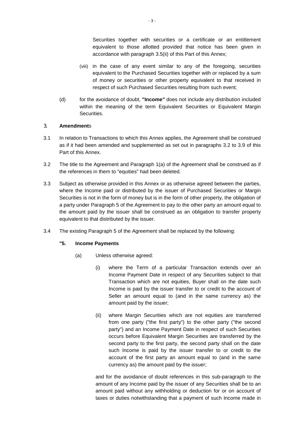Securities together with securities or a certificate or an entitlement equivalent to those allotted provided that notice has been given in accordance with paragraph 3.5(ii) of this Part of this Annex;

- (viii) in the case of any event similar to any of the foregoing, securities equivalent to the Purchased Securities together with or replaced by a sum of money or securities or other property equivalent to that received in respect of such Purchased Securities resulting from such event;
- (d) for the avoidance of doubt, **"Income"** does not include any distribution included within the meaning of the term Equivalent Securities or Equivalent Margin Securities.

## 3. **Amendment**s

- 3.1 In relation to Transactions to which this Annex applies, the Agreement shall be construed as if it had been amended and supplemented as set out in paragraphs 3.2 to 3.9 of this Part of this Annex.
- 3.2 The title to the Agreement and Paragraph 1(a) of the Agreement shall be construed as if the references in them to "equities" had been deleted.
- 3.3 Subject as otherwise provided in this Annex or as otherwise agreed between the parties, where the Income paid or distributed by the issuer of Purchased Securities or Margin Securities is not in the form of money but is in the form of other property, the obligation of a party under Paragraph 5 of the Agreement to pay to the other party an amount equal to the amount paid by the issuer shall be construed as an obligation to transfer property equivalent to that distributed by the issuer.
- 3.4 The existing Paragraph 5 of the Agreement shall be replaced by the following:

## **"5. Income Payments**

- (a) Unless otherwise agreed:
	- (i) where the Term of a particular Transaction extends over an Income Payment Date in respect of any Securities subject to that Transaction which are not equities, Buyer shall on the date such Income is paid by the issuer transfer to or credit to the account of Seller an amount equal to (and in the same currency as) the amount paid by the issuer;
	- (ii) where Margin Securities which are not equities are transferred from one party ("the first party") to the other party ("the second party") and an Income Payment Date in respect of such Securities occurs before Equivalent Margin Securities are transferred by the second party to the first party, the second party shall on the date such Income is paid by the issuer transfer to or credit to the account of the first party an amount equal to (and in the same currency as) the amount paid by the issuer;

and for the avoidance of doubt references in this sub-paragraph to the amount of any Income paid by the issuer of any Securities shall be to an amount paid without any withholding or deduction for or on account of taxes or duties notwithstanding that a payment of such Income made in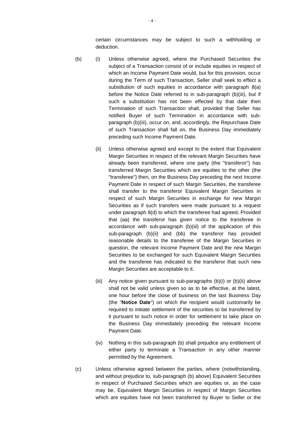certain circumstances may be subject to such a withholding or deduction.

- (b) (i) Unless otherwise agreed, where the Purchased Securities the subject of a Transaction consist of or include equities in respect of which an Income Payment Date would, but for this provision, occur during the Term of such Transaction, Seller shall seek to effect a substitution of such equities in accordance with paragraph 8(a) before the Notice Date referred to in sub-paragraph (b)(iii), but if such a substitution has not been effected by that date then Termination of such Transaction shall, provided that Seller has notified Buyer of such Termination in accordance with subparagraph (b)(iii), occur on, and, accordingly, the Repurchase Date of such Transaction shall fall on, the Business Day immediately preceding such Income Payment Date.
	- (ii) Unless otherwise agreed and except to the extent that Equivalent Margin Securities in respect of the relevant Margin Securities have already been transferred, where one party (the "transferor") has transferred Margin Securities which are equities to the other (the "transferee") then, on the Business Day preceding the next Income Payment Date in respect of such Margin Securities, the transferee shall transfer to the transferor Equivalent Margin Securities in respect of such Margin Securities in exchange for new Margin Securities as if such transfers were made pursuant to a request under paragraph 8(d) to which the transferee had agreed, Provided that (aa) the transferor has given notice to the transferee in accordance with sub-paragraph (b)(iii) of the application of this sub-paragraph (b)(ii) and (bb) the transferor has provided reasonable details to the transferee of the Margin Securities in question, the relevant Income Payment Date and the new Margin Securities to be exchanged for such Equivalent Margin Securities and the transferee has indicated to the transferor that such new Margin Securities are acceptable to it.
	- (iii) Any notice given pursuant to sub-paragraphs (b)(i) or (b)(ii) above shall not be valid unless given so as to be effective, at the latest, one hour before the close of business on the last Business Day (the "**Notice Date**") on which the recipient would customarily be required to initiate settlement of the securities to be transferred by it pursuant to such notice in order for settlement to take place on the Business Day immediately preceding the relevant Income Payment Date.
	- (iv) Nothing in this sub-paragraph (b) shall prejudice any entitlement of either party to terminate a Transaction in any other manner permitted by the Agreement.
- (c) Unless otherwise agreed between the parties, where (notwithstanding, and without prejudice to, sub-paragraph (b) above) Equivalent Securities in respect of Purchased Securities which are equities or, as the case may be, Equivalent Margin Securities in respect of Margin Securities which are equities have not been transferred by Buyer to Seller or the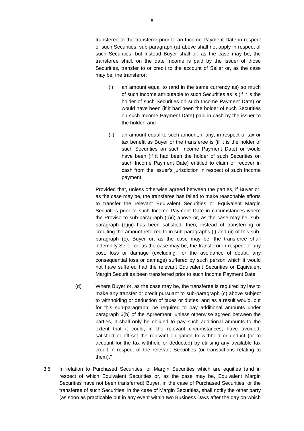transferee to the transferor prior to an Income Payment Date in respect of such Securities, sub-paragraph (a) above shall not apply in respect of such Securities, but instead Buyer shall or, as the case may be, the transferee shall, on the date Income is paid by the issuer of those Securities, transfer to or credit to the account of Seller or, as the case may be, the transferor:

- (i) an amount equal to (and in the same currency as) so much of such Income attributable to such Securities as is (if it is the holder of such Securities on such Income Payment Date) or would have been (if it had been the holder of such Securities on such Income Payment Date) paid in cash by the issuer to the holder; and
- (ii) an amount equal to such amount, if any, in respect of tax or tax benefit as Buyer or the transferee is (if it is the holder of such Securities on such Income Payment Date) or would have been (if it had been the holder of such Securities on such Income Payment Date) entitled to claim or recover in cash from the issuer's jurisdiction in respect of such Income payment;

Provided that, unless otherwise agreed between the parties, if Buyer or, as the case may be, the transferee has failed to make reasonable efforts to transfer the relevant Equivalent Securities or Equivalent Margin Securities prior to such Income Payment Date in circumstances where the Proviso to sub-paragraph (b)(i) above or, as the case may be, subparagraph (b)(ii) has been satisfied, then, instead of transferring or crediting the amount referred to in sub-paragraphs (i) and (ii) of this subparagraph (c), Buyer or, as the case may be, the transferee shall indemnify Seller or, as the case may be, the transferor in respect of any cost, loss or damage (excluding, for the avoidance of doubt, any consequential loss or damage) suffered by such person which it would not have suffered had the relevant Equivalent Securities or Equivalent Margin Securities been transferred prior to such Income Payment Date.

- (d) Where Buyer or, as the case may be, the transferee is required by law to make any transfer or credit pursuant to sub-paragraph (c) above subject to withholding or deduction of taxes or duties, and as a result would, but for this sub-paragraph, be required to pay additional amounts under paragraph 6(b) of the Agreement, unless otherwise agreed between the parties, it shall only be obliged to pay such additional amounts to the extent that it could, in the relevant circumstances, have avoided, satisfied or off-set the relevant obligation to withhold or deduct (or to account for the tax withheld or deducted) by utilising any available tax credit in respect of the relevant Securities (or transactions relating to them)."
- 3.5 In relation to Purchased Securities, or Margin Securities which are equities (and in respect of which Equivalent Securities or, as the case may be, Equivalent Margin Securities have not been transferred) Buyer, in the case of Purchased Securities, or the transferee of such Securities, in the case of Margin Securities, shall notify the other party (as soon as practicable but in any event within two Business Days after the day on which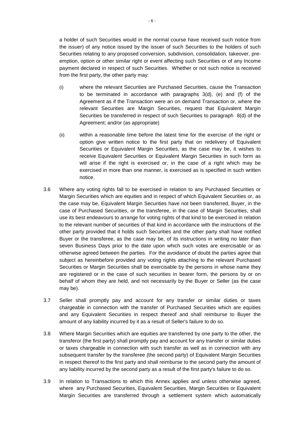a holder of such Securities would in the normal course have received such notice from the issuer) of any notice issued by the issuer of such Securities to the holders of such Securities relating to any proposed conversion, subdivision, consolidation, takeover, preemption, option or other similar right or event affecting such Securities or of any Income payment declared in respect of such Securities. Whether or not such notice is received from the first party, the other party may:

- (i) where the relevant Securities are Purchased Securities, cause the Transaction to be terminated in accordance with paragraphs 3(d), (e) and (f) of the Agreement as if the Transaction were an on demand Transaction or, where the relevant Securities are Margin Securities, request that Equivalent Margin Securities be transferred in respect of such Securities to paragraph 8(d) of the Agreement; and/or (as appropriate)
- (ii) within a reasonable time before the latest time for the exercise of the right or option give written notice to the first party that on redelivery of Equivalent Securities or Equivalent Margin Securities, as the case may be, it wishes to receive Equivalent Securities or Equivalent Margin Securities in such form as will arise if the right is exercised or, in the case of a right which may be exercised in more than one manner, is exercised as is specified in such written notice.
- 3.6 Where any voting rights fall to be exercised in relation to any Purchased Securities or Margin Securities which are equities and in respect of which Equivalent Securities or, as the case may be, Equivalent Margin Securities have not been transferred, Buyer, in the case of Purchased Securities, or the transferee, in the case of Margin Securities, shall use its best endeavours to arrange for voting rights of that kind to be exercised in relation to the relevant number of securities of that kind in accordance with the instructions of the other party provided that it holds such Securities and the other party shall have notified Buyer or the transferee, as the case may be, of its instructions in writing no later than seven Business Days prior to the date upon which such votes are exercisable or as otherwise agreed between the parties. For the avoidance of doubt the parties agree that subject as hereinbefore provided any voting rights attaching to the relevant Purchased Securities or Margin Securities shall be exercisable by the persons in whose name they are registered or in the case of such securities in bearer form, the persons by or on behalf of whom they are held, and not necessarily by the Buyer or Seller (as the case may be).
- 3.7 Seller shall promptly pay and account for any transfer or similar duties or taxes chargeable in connection with the transfer of Purchased Securities which are equities and any Equivalent Securities in respect thereof and shall reimburse to Buyer the amount of any liability incurred by it as a result of Seller's failure to do so.
- 3.8 Where Margin Securities which are equities are transferred by one party to the other, the transferor (the first party) shall promptly pay and account for any transfer or similar duties or taxes chargeable in connection with such transfer as well as in connection with any subsequent transfer by the transferee (the second party) of Equivalent Margin Securities in respect thereof to the first party and shall reimburse to the second party the amount of any liability incurred by the second party as a result of the first party's failure to do so.
- 3.9 In relation to Transactions to which this Annex applies and unless otherwise agreed, where any Purchased Securities, Equivalent Securities, Margin Securities or Equivalent Margin Securities are transferred through a settlement system which automatically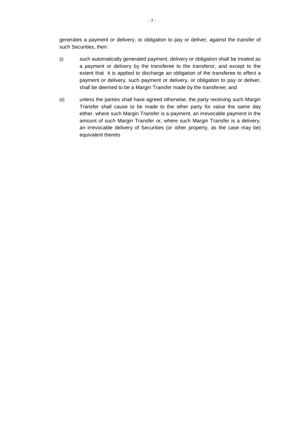generates a payment or delivery, or obligation to pay or deliver, against the transfer of such Securities, then:

- (i) such automatically generated payment, delivery or obligation shall be treated as a payment or delivery by the transferee to the transferor, and except to the extent that it is applied to discharge an obligation of the transferee to effect a payment or delivery, such payment or delivery, or obligation to pay or deliver, shall be deemed to be a Margin Transfer made by the transferee; and
- (ii) unless the parties shall have agreed otherwise, the party receiving such Margin Transfer shall cause to be made to the other party for value the same day either, where such Margin Transfer is a payment, an irrevocable payment in the amount of such Margin Transfer or, where such Margin Transfer is a delivery, an irrevocable delivery of Securities (or other property, as the case may be) equivalent thereto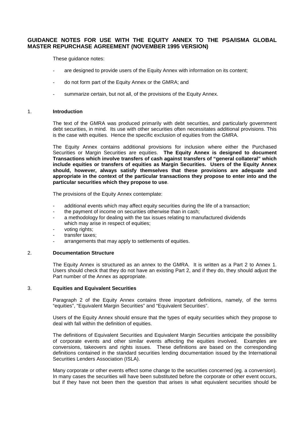# **GUIDANCE NOTES FOR USE WITH THE EQUITY ANNEX TO THE PSA/ISMA GLOBAL MASTER REPURCHASE AGREEMENT (NOVEMBER 1995 VERSION)**

These guidance notes:

- are designed to provide users of the Equity Annex with information on its content;
- do not form part of the Equity Annex or the GMRA; and
- summarize certain, but not all, of the provisions of the Equity Annex.

### 1. **Introduction**

The text of the GMRA was produced primarily with debt securities, and particularly government debt securities, in mind. Its use with other securities often necessitates additional provisions. This is the case with equities. Hence the specific exclusion of equities from the GMRA.

The Equity Annex contains additional provisions for inclusion where either the Purchased Securities or Margin Securities are equities. **The Equity Annex is designed to document Transactions which involve transfers of cash against transfers of "general collateral" which include equities or transfers of equities as Margin Securities. Users of the Equity Annex should, however, always satisfy themselves that these provisions are adequate and appropriate in the context of the particular transactions they propose to enter into and the particular securities which they propose to use**.

The provisions of the Equity Annex contemplate:

- additional events which may affect equity securities during the life of a transaction;
- the payment of income on securities otherwise than in cash;
- a methodology for dealing with the tax issues relating to manufactured dividends which may arise in respect of equities;
- voting rights;
- transfer taxes;
- arrangements that may apply to settlements of equities.

#### 2. **Documentation Structure**

The Equity Annex is structured as an annex to the GMRA. It is written as a Part 2 to Annex 1. Users should check that they do not have an existing Part 2, and if they do, they should adjust the Part number of the Annex as appropriate.

### 3. **Equities and Equivalent Securities**

Paragraph 2 of the Equity Annex contains three important definitions, namely, of the terms "equities", "Equivalent Margin Securities" and "Equivalent Securities".

Users of the Equity Annex should ensure that the types of equity securities which they propose to deal with fall within the definition of equities.

The definitions of Equivalent Securities and Equivalent Margin Securities anticipate the possibility of corporate events and other similar events affecting the equities involved. Examples are conversions, takeovers and rights issues. These definitions are based on the corresponding definitions contained in the standard securities lending documentation issued by the International Securities Lenders Association (ISLA).

Many corporate or other events effect some change to the securities concerned (eg. a conversion). In many cases the securities will have been substituted before the corporate or other event occurs, but if they have not been then the question that arises is what equivalent securities should be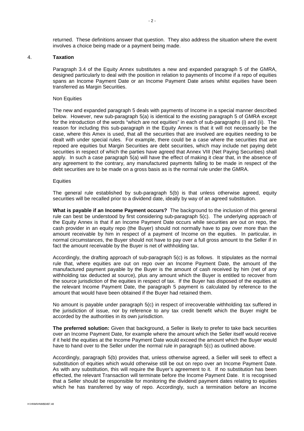returned. These definitions answer that question. They also address the situation where the event involves a choice being made or a payment being made.

#### 4. **Taxation**

Paragraph 3.4 of the Equity Annex substitutes a new and expanded paragraph 5 of the GMRA, designed particularly to deal with the position in relation to payments of Income if a repo of equities spans an Income Payment Date or an Income Payment Date arises whilst equities have been transferred as Margin Securities.

#### Non Equities

The new and expanded paragraph 5 deals with payments of Income in a special manner described below. However, new sub-paragraph 5(a) is identical to the existing paragraph 5 of GMRA except for the introduction of the words "which are not equities" in each of sub-paragraphs (i) and (ii). The reason for including this sub-paragraph in the Equity Annex is that it will not necessarily be the case, where this Amex is used, that all the securities that are involved are equities needing to be dealt with under special rules. For example, there could be a case where the securities that are repoed are equities but Margin Securities are debt securities, which may include net paying debt securities in respect of which the parties have agreed that Annex VIII (Net Paying Securities) shall apply. In such a case paragraph 5(a) will have the effect of making it clear that, in the absence of any agreement to the contrary, any manufactured payments falling to be made in respect of the debt securities are to be made on a gross basis as is the normal rule under the GMRA.

#### **Equities**

The general rule established by sub-paragraph 5(b) is that unless otherwise agreed, equity securities will be recalled prior to a dividend date, ideally by way of an agreed substitution.

**What is payable if an Income Payment occurs?** The background to the inclusion of this general rule can best be understood by first considering sub-paragraph 5(c). The underlying approach of the Equity Annex is that if an Income Payment Date occurs while securities are out on repo, the cash provider in an equity repo (the Buyer) should not normally have to pay over more than the amount receivable by him in respect of a payment of Income on the equities. In particular, in normal circumstances, the Buyer should not have to pay over a full gross amount to the Seller if in fact the amount receivable by the Buyer is net of withholding tax.

Accordingly, the drafting approach of sub-paragraph 5(c) is as follows. It stipulates as the normal rule that, where equities are out on repo over an Income Payment Date, the amount of the manufactured payment payable by the Buyer is the amount of cash received by him (net of any withholding tax deducted at source), plus any amount which the Buyer is entitled to recover from the source jurisdiction of the equities in respect of tax. If the Buyer has disposed of the equities at the relevant Income Payment Date, the paragraph 5 payment is calculated by reference to the amount that would have been obtained if the Buyer had retained them.

No amount is payable under paragraph 5(c) in respect of irrecoverable withholding tax suffered in the jurisdiction of issue, nor by reference to any tax credit benefit which the Buyer might be accorded by the authorities in its own jurisdiction.

**The preferred solution:** Given that background, a Seller is likely to prefer to take back securities over an Income Payment Date, for example where the amount which the Seller itself would receive if it held the equities at the Income Payment Date would exceed the amount which the Buyer would have to hand over to the Seller under the normal rule in paragraph 5(c) as outlined above.

Accordingly, paragraph 5(b) provides that, unless otherwise agreed, a Seller will seek to effect a substitution of equities which would otherwise still be out on repo over an Income Payment Date. As with any substitution, this will require the Buyer's agreement to it. If no substitution has been effected, the relevant Transaction will terminate before the Income Payment Date. It is recognised that a Seller should be responsible for monitoring the dividend payment dates relating to equities which he has transferred by way of repo. Accordingly, such a termination before an Income